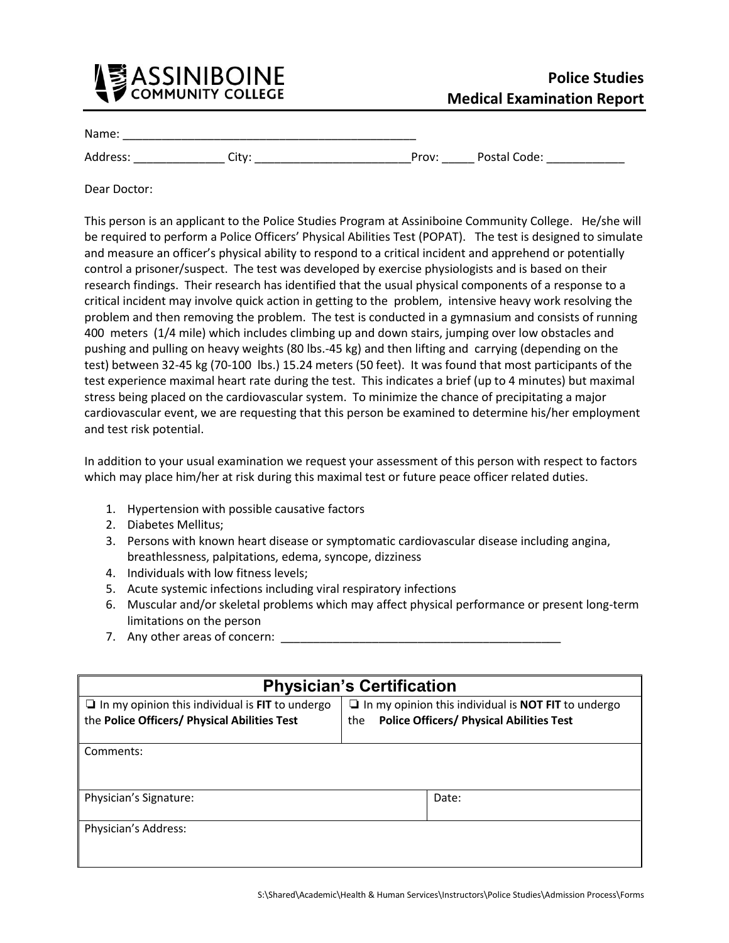

Name: \_\_\_\_\_\_\_\_\_\_\_\_\_\_\_\_\_\_\_\_\_\_\_\_\_\_\_\_\_\_\_\_\_\_\_\_\_\_\_\_\_\_\_\_\_

Address: \_\_\_\_\_\_\_\_\_\_\_\_\_\_ City: \_\_\_\_\_\_\_\_\_\_\_\_\_\_\_\_\_\_\_\_\_\_\_\_Prov: \_\_\_\_\_ Postal Code: \_\_\_\_\_\_\_\_\_\_\_\_

Dear Doctor:

This person is an applicant to the Police Studies Program at Assiniboine Community College. He/she will be required to perform a Police Officers' Physical Abilities Test (POPAT). The test is designed to simulate and measure an officer's physical ability to respond to a critical incident and apprehend or potentially control a prisoner/suspect. The test was developed by exercise physiologists and is based on their research findings. Their research has identified that the usual physical components of a response to a critical incident may involve quick action in getting to the problem, intensive heavy work resolving the problem and then removing the problem. The test is conducted in a gymnasium and consists of running 400 meters (1/4 mile) which includes climbing up and down stairs, jumping over low obstacles and pushing and pulling on heavy weights (80 lbs.-45 kg) and then lifting and carrying (depending on the test) between 32-45 kg (70-100 lbs.) 15.24 meters (50 feet). It was found that most participants of the test experience maximal heart rate during the test. This indicates a brief (up to 4 minutes) but maximal stress being placed on the cardiovascular system. To minimize the chance of precipitating a major cardiovascular event, we are requesting that this person be examined to determine his/her employment and test risk potential.

In addition to your usual examination we request your assessment of this person with respect to factors which may place him/her at risk during this maximal test or future peace officer related duties.

- 1. Hypertension with possible causative factors
- 2. Diabetes Mellitus;
- 3. Persons with known heart disease or symptomatic cardiovascular disease including angina, breathlessness, palpitations, edema, syncope, dizziness
- 4. Individuals with low fitness levels;
- 5. Acute systemic infections including viral respiratory infections
- 6. Muscular and/or skeletal problems which may affect physical performance or present long-term limitations on the person
- 7. Any other areas of concern:

| <b>Physician's Certification</b>                                                                       |                                                                                                                             |       |
|--------------------------------------------------------------------------------------------------------|-----------------------------------------------------------------------------------------------------------------------------|-------|
| $\Box$ In my opinion this individual is FIT to undergo<br>the Police Officers/ Physical Abilities Test | $\Box$ In my opinion this individual is <b>NOT FIT</b> to undergo<br><b>Police Officers/ Physical Abilities Test</b><br>the |       |
| Comments:                                                                                              |                                                                                                                             |       |
| Physician's Signature:                                                                                 |                                                                                                                             | Date: |
| Physician's Address:                                                                                   |                                                                                                                             |       |